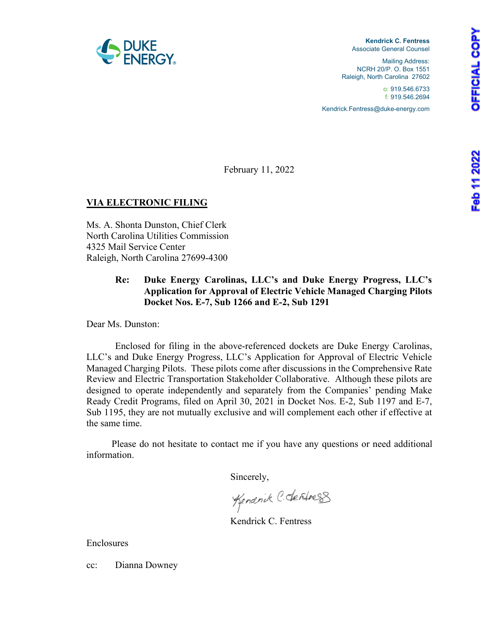



**Kendrick C. Fentress** Associate General Counsel

Mailing Address: NCRH 20/P. O. Box 1551 Raleigh, North Carolina 27602

> o: 919.546.6733 f: 919.546.2694

Kendrick.Fentress@duke-energy.com

February 11, 2022

# **VIA ELECTRONIC FILING**

Ms. A. Shonta Dunston, Chief Clerk North Carolina Utilities Commission 4325 Mail Service Center Raleigh, North Carolina 27699-4300

# **Re: Duke Energy Carolinas, LLC's and Duke Energy Progress, LLC's Application for Approval of Electric Vehicle Managed Charging Pilots Docket Nos. E-7, Sub 1266 and E-2, Sub 1291**

Dear Ms. Dunston:

Enclosed for filing in the above-referenced dockets are Duke Energy Carolinas, LLC's and Duke Energy Progress, LLC's Application for Approval of Electric Vehicle Managed Charging Pilots. These pilots come after discussions in the Comprehensive Rate Review and Electric Transportation Stakeholder Collaborative. Although these pilots are designed to operate independently and separately from the Companies' pending Make Ready Credit Programs, filed on April 30, 2021 in Docket Nos. E-2, Sub 1197 and E-7, Sub 1195, they are not mutually exclusive and will complement each other if effective at the same time.

Please do not hesitate to contact me if you have any questions or need additional information.

Sincerely,

Kendrick C. derfress

Kendrick C. Fentress

Enclosures

cc: Dianna Downey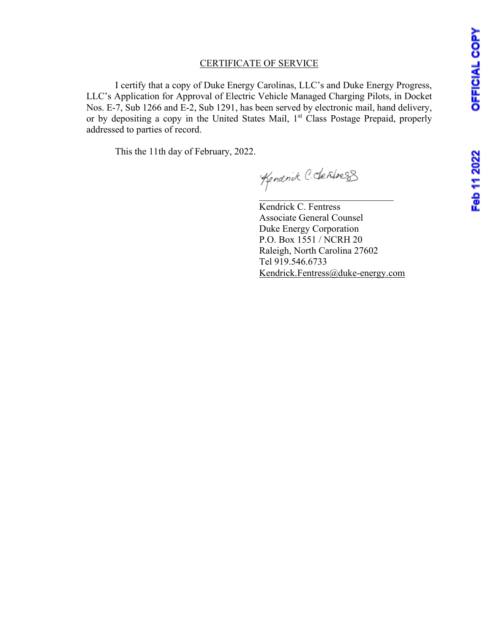# CERTIFICATE OF SERVICE

I certify that a copy of Duke Energy Carolinas, LLC's and Duke Energy Progress, LLC's Application for Approval of Electric Vehicle Managed Charging Pilots, in Docket Nos. E-7, Sub 1266 and E-2, Sub 1291, has been served by electronic mail, hand delivery, or by depositing a copy in the United States Mail, 1<sup>st</sup> Class Postage Prepaid, properly addressed to parties of record.

This the 11th day of February, 2022.

Kendrick C. Fentress Associate General Counsel Duke Energy Corporation P.O. Box 1551 / NCRH 20 Raleigh, North Carolina 27602 Tel 919.546.6733 [Kendrick.Fentress@duke-energy.com](mailto:Kendrick.Fentress@duke-energy.com)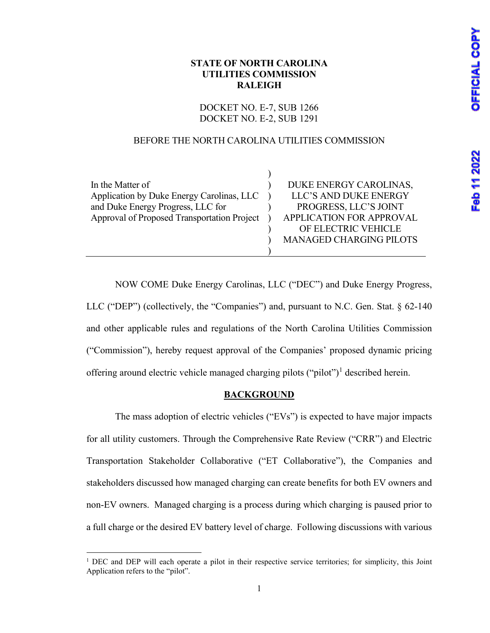# **STATE OF NORTH CAROLINA UTILITIES COMMISSION RALEIGH**

DOCKET NO. E-7, SUB 1266 DOCKET NO. E-2, SUB 1291

# BEFORE THE NORTH CAROLINA UTILITIES COMMISSION

| In the Matter of                            | DUKE ENERGY CAROLINAS,         |
|---------------------------------------------|--------------------------------|
| Application by Duke Energy Carolinas, LLC   | LLC'S AND DUKE ENERGY          |
| and Duke Energy Progress, LLC for           | PROGRESS, LLC'S JOINT          |
| Approval of Proposed Transportation Project | APPLICATION FOR APPROVAL       |
|                                             | OF ELECTRIC VEHICLE            |
|                                             | <b>MANAGED CHARGING PILOTS</b> |
|                                             |                                |

NOW COME Duke Energy Carolinas, LLC ("DEC") and Duke Energy Progress, LLC ("DEP") (collectively, the "Companies") and, pursuant to N.C. Gen. Stat. § 62-140 and other applicable rules and regulations of the North Carolina Utilities Commission ("Commission"), hereby request approval of the Companies' proposed dynamic pricing offering around electric vehicle managed charging pilots ("pilot")<sup>[1](#page-2-0)</sup> described herein.

# **BACKGROUND**

The mass adoption of electric vehicles ("EVs") is expected to have major impacts for all utility customers. Through the Comprehensive Rate Review ("CRR") and Electric Transportation Stakeholder Collaborative ("ET Collaborative"), the Companies and stakeholders discussed how managed charging can create benefits for both EV owners and non-EV owners. Managed charging is a process during which charging is paused prior to a full charge or the desired EV battery level of charge. Following discussions with various

<span id="page-2-0"></span><sup>&</sup>lt;sup>1</sup> DEC and DEP will each operate a pilot in their respective service territories; for simplicity, this Joint Application refers to the "pilot".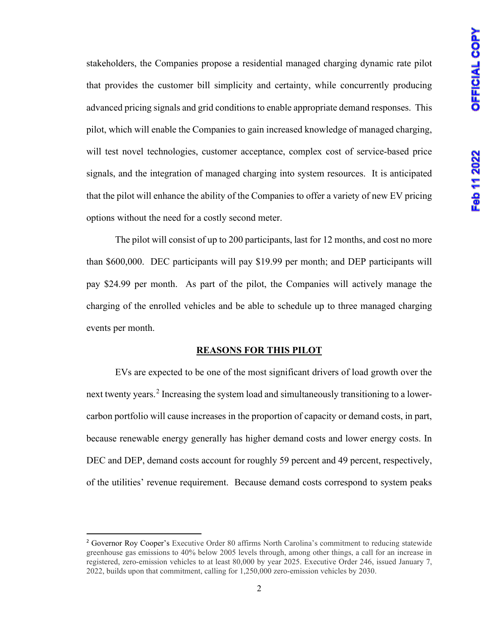stakeholders, the Companies propose a residential managed charging dynamic rate pilot that provides the customer bill simplicity and certainty, while concurrently producing advanced pricing signals and grid conditions to enable appropriate demand responses. This pilot, which will enable the Companies to gain increased knowledge of managed charging, will test novel technologies, customer acceptance, complex cost of service-based price signals, and the integration of managed charging into system resources. It is anticipated that the pilot will enhance the ability of the Companies to offer a variety of new EV pricing options without the need for a costly second meter.

The pilot will consist of up to 200 participants, last for 12 months, and cost no more than \$600,000. DEC participants will pay \$19.99 per month; and DEP participants will pay \$24.99 per month. As part of the pilot, the Companies will actively manage the charging of the enrolled vehicles and be able to schedule up to three managed charging events per month.

#### **REASONS FOR THIS PILOT**

EVs are expected to be one of the most significant drivers of load growth over the next twenty years.<sup>[2](#page-3-0)</sup> Increasing the system load and simultaneously transitioning to a lowercarbon portfolio will cause increases in the proportion of capacity or demand costs, in part, because renewable energy generally has higher demand costs and lower energy costs. In DEC and DEP, demand costs account for roughly 59 percent and 49 percent, respectively, of the utilities' revenue requirement. Because demand costs correspond to system peaks

<span id="page-3-0"></span><sup>2</sup> Governor Roy Cooper's Executive Order 80 affirms North Carolina's commitment to reducing statewide greenhouse gas emissions to 40% below 2005 levels through, among other things, a call for an increase in registered, zero-emission vehicles to at least 80,000 by year 2025. Executive Order 246, issued January 7, 2022, builds upon that commitment, calling for 1,250,000 zero-emission vehicles by 2030.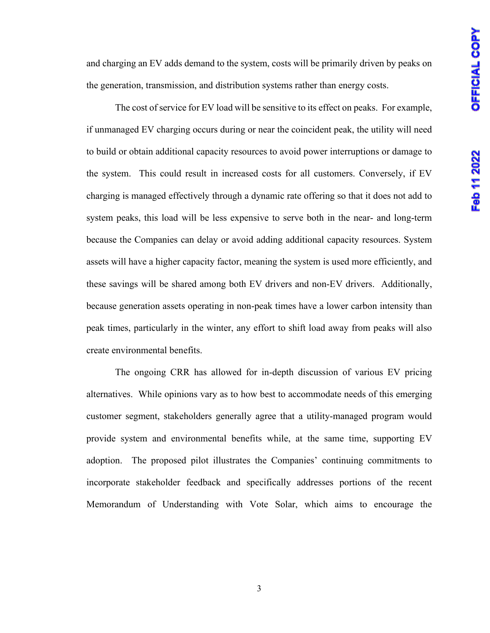and charging an EV adds demand to the system, costs will be primarily driven by peaks on the generation, transmission, and distribution systems rather than energy costs.

The cost of service for EV load will be sensitive to its effect on peaks. For example, if unmanaged EV charging occurs during or near the coincident peak, the utility will need to build or obtain additional capacity resources to avoid power interruptions or damage to the system. This could result in increased costs for all customers. Conversely, if EV charging is managed effectively through a dynamic rate offering so that it does not add to system peaks, this load will be less expensive to serve both in the near- and long-term because the Companies can delay or avoid adding additional capacity resources. System assets will have a higher capacity factor, meaning the system is used more efficiently, and these savings will be shared among both EV drivers and non-EV drivers. Additionally, because generation assets operating in non-peak times have a lower carbon intensity than peak times, particularly in the winter, any effort to shift load away from peaks will also create environmental benefits.

The ongoing CRR has allowed for in-depth discussion of various EV pricing alternatives. While opinions vary as to how best to accommodate needs of this emerging customer segment, stakeholders generally agree that a utility-managed program would provide system and environmental benefits while, at the same time, supporting EV adoption. The proposed pilot illustrates the Companies' continuing commitments to incorporate stakeholder feedback and specifically addresses portions of the recent Memorandum of Understanding with Vote Solar, which aims to encourage the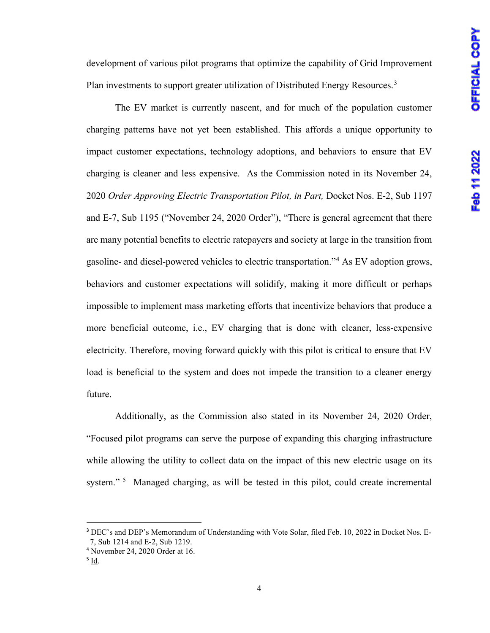development of various pilot programs that optimize the capability of Grid Improvement Plan investments to support greater utilization of Distributed Energy Resources.<sup>[3](#page-5-0)</sup>

The EV market is currently nascent, and for much of the population customer charging patterns have not yet been established. This affords a unique opportunity to impact customer expectations, technology adoptions, and behaviors to ensure that EV charging is cleaner and less expensive. As the Commission noted in its November 24, 2020 *Order Approving Electric Transportation Pilot, in Part,* Docket Nos. E-2, Sub 1197 and E-7, Sub 1195 ("November 24, 2020 Order"), "There is general agreement that there are many potential benefits to electric ratepayers and society at large in the transition from gasoline- and diesel-powered vehicles to electric transportation."[4](#page-5-1) As EV adoption grows, behaviors and customer expectations will solidify, making it more difficult or perhaps impossible to implement mass marketing efforts that incentivize behaviors that produce a more beneficial outcome, i.e., EV charging that is done with cleaner, less-expensive electricity. Therefore, moving forward quickly with this pilot is critical to ensure that EV load is beneficial to the system and does not impede the transition to a cleaner energy future.

Additionally, as the Commission also stated in its November 24, 2020 Order, "Focused pilot programs can serve the purpose of expanding this charging infrastructure while allowing the utility to collect data on the impact of this new electric usage on its system."<sup>[5](#page-5-2)</sup> Managed charging, as will be tested in this pilot, could create incremental

<span id="page-5-0"></span><sup>&</sup>lt;sup>3</sup> DEC's and DEP's Memorandum of Understanding with Vote Solar, filed Feb. 10, 2022 in Docket Nos. E-7, Sub 1214 and E-2, Sub 1219. 4 November 24, 2020 Order at 16.

<span id="page-5-2"></span><span id="page-5-1"></span><sup>5</sup> Id.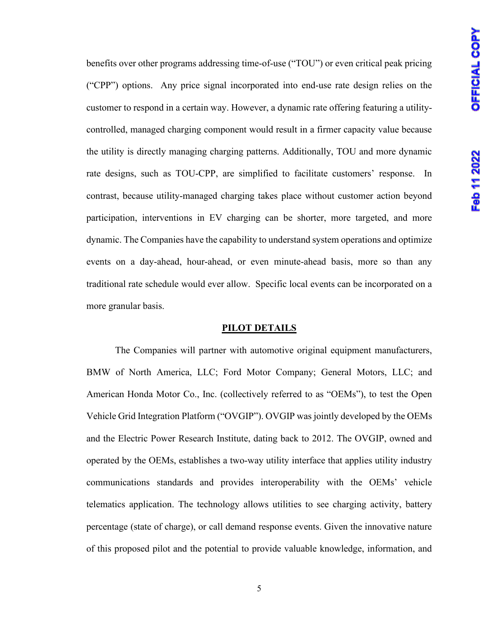benefits over other programs addressing time-of-use ("TOU") or even critical peak pricing ("CPP") options. Any price signal incorporated into end-use rate design relies on the customer to respond in a certain way. However, a dynamic rate offering featuring a utilitycontrolled, managed charging component would result in a firmer capacity value because the utility is directly managing charging patterns. Additionally, TOU and more dynamic rate designs, such as TOU-CPP, are simplified to facilitate customers' response. In contrast, because utility-managed charging takes place without customer action beyond participation, interventions in EV charging can be shorter, more targeted, and more dynamic. The Companies have the capability to understand system operations and optimize events on a day-ahead, hour-ahead, or even minute-ahead basis, more so than any traditional rate schedule would ever allow. Specific local events can be incorporated on a more granular basis.

### **PILOT DETAILS**

The Companies will partner with automotive original equipment manufacturers, BMW of North America, LLC; Ford Motor Company; General Motors, LLC; and American Honda Motor Co., Inc. (collectively referred to as "OEMs"), to test the Open Vehicle Grid Integration Platform ("OVGIP"). OVGIP was jointly developed by the OEMs and the Electric Power Research Institute, dating back to 2012. The OVGIP, owned and operated by the OEMs, establishes a two-way utility interface that applies utility industry communications standards and provides interoperability with the OEMs' vehicle telematics application. The technology allows utilities to see charging activity, battery percentage (state of charge), or call demand response events. Given the innovative nature of this proposed pilot and the potential to provide valuable knowledge, information, and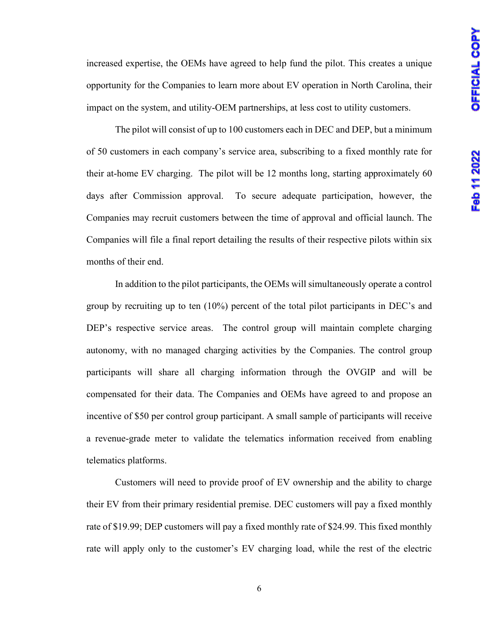increased expertise, the OEMs have agreed to help fund the pilot. This creates a unique opportunity for the Companies to learn more about EV operation in North Carolina, their impact on the system, and utility-OEM partnerships, at less cost to utility customers.

The pilot will consist of up to 100 customers each in DEC and DEP, but a minimum of 50 customers in each company's service area, subscribing to a fixed monthly rate for their at-home EV charging. The pilot will be 12 months long, starting approximately 60 days after Commission approval. To secure adequate participation, however, the Companies may recruit customers between the time of approval and official launch. The Companies will file a final report detailing the results of their respective pilots within six months of their end.

In addition to the pilot participants, the OEMs will simultaneously operate a control group by recruiting up to ten (10%) percent of the total pilot participants in DEC's and DEP's respective service areas. The control group will maintain complete charging autonomy, with no managed charging activities by the Companies. The control group participants will share all charging information through the OVGIP and will be compensated for their data. The Companies and OEMs have agreed to and propose an incentive of \$50 per control group participant. A small sample of participants will receive a revenue-grade meter to validate the telematics information received from enabling telematics platforms.

Customers will need to provide proof of EV ownership and the ability to charge their EV from their primary residential premise. DEC customers will pay a fixed monthly rate of \$19.99; DEP customers will pay a fixed monthly rate of \$24.99. This fixed monthly rate will apply only to the customer's EV charging load, while the rest of the electric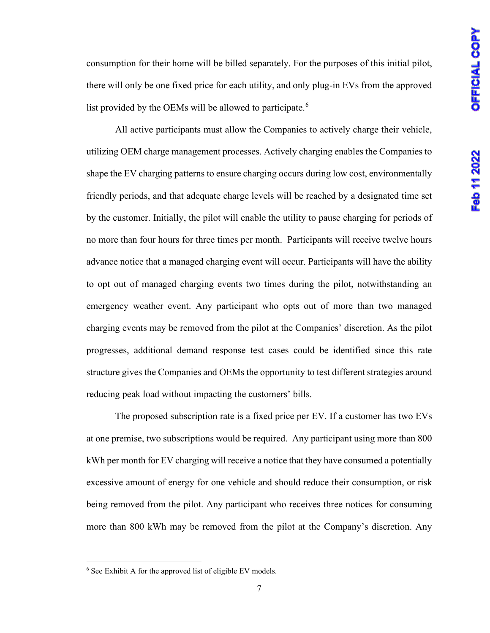consumption for their home will be billed separately. For the purposes of this initial pilot, there will only be one fixed price for each utility, and only plug-in EVs from the approved list provided by the OEMs will be allowed to participate.<sup>[6](#page-8-0)</sup>

All active participants must allow the Companies to actively charge their vehicle, utilizing OEM charge management processes. Actively charging enables the Companies to shape the EV charging patterns to ensure charging occurs during low cost, environmentally friendly periods, and that adequate charge levels will be reached by a designated time set by the customer. Initially, the pilot will enable the utility to pause charging for periods of no more than four hours for three times per month. Participants will receive twelve hours advance notice that a managed charging event will occur. Participants will have the ability to opt out of managed charging events two times during the pilot, notwithstanding an emergency weather event. Any participant who opts out of more than two managed charging events may be removed from the pilot at the Companies' discretion. As the pilot progresses, additional demand response test cases could be identified since this rate structure gives the Companies and OEMs the opportunity to test different strategies around reducing peak load without impacting the customers' bills.

The proposed subscription rate is a fixed price per EV. If a customer has two EVs at one premise, two subscriptions would be required. Any participant using more than 800 kWh per month for EV charging will receive a notice that they have consumed a potentially excessive amount of energy for one vehicle and should reduce their consumption, or risk being removed from the pilot. Any participant who receives three notices for consuming more than 800 kWh may be removed from the pilot at the Company's discretion. Any

<span id="page-8-0"></span><sup>&</sup>lt;sup>6</sup> See Exhibit A for the approved list of eligible EV models.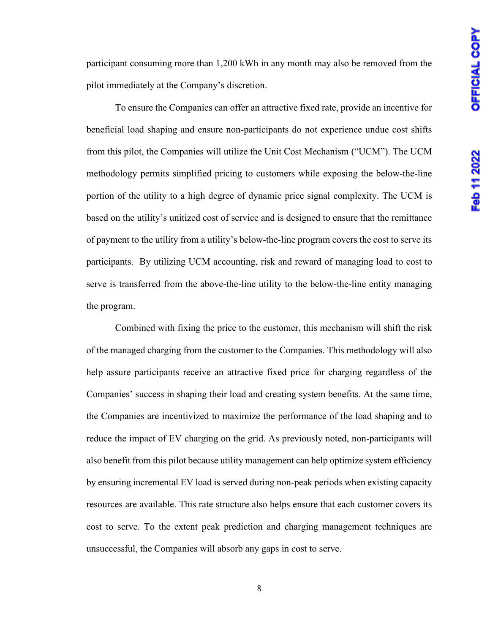participant consuming more than 1,200 kWh in any month may also be removed from the pilot immediately at the Company's discretion.

To ensure the Companies can offer an attractive fixed rate, provide an incentive for beneficial load shaping and ensure non-participants do not experience undue cost shifts from this pilot, the Companies will utilize the Unit Cost Mechanism ("UCM"). The UCM methodology permits simplified pricing to customers while exposing the below-the-line portion of the utility to a high degree of dynamic price signal complexity. The UCM is based on the utility's unitized cost of service and is designed to ensure that the remittance of payment to the utility from a utility's below-the-line program covers the cost to serve its participants. By utilizing UCM accounting, risk and reward of managing load to cost to serve is transferred from the above-the-line utility to the below-the-line entity managing the program.

Combined with fixing the price to the customer, this mechanism will shift the risk of the managed charging from the customer to the Companies. This methodology will also help assure participants receive an attractive fixed price for charging regardless of the Companies' success in shaping their load and creating system benefits. At the same time, the Companies are incentivized to maximize the performance of the load shaping and to reduce the impact of EV charging on the grid. As previously noted, non-participants will also benefit from this pilot because utility management can help optimize system efficiency by ensuring incremental EV load is served during non-peak periods when existing capacity resources are available. This rate structure also helps ensure that each customer covers its cost to serve. To the extent peak prediction and charging management techniques are unsuccessful, the Companies will absorb any gaps in cost to serve.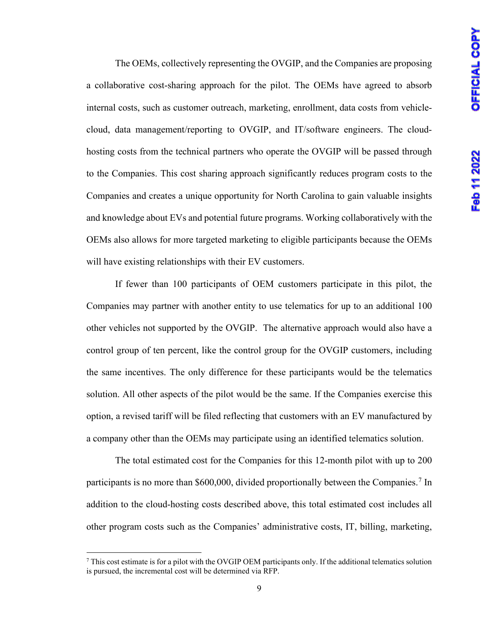The OEMs, collectively representing the OVGIP, and the Companies are proposing a collaborative cost-sharing approach for the pilot. The OEMs have agreed to absorb internal costs, such as customer outreach, marketing, enrollment, data costs from vehiclecloud, data management/reporting to OVGIP, and IT/software engineers. The cloudhosting costs from the technical partners who operate the OVGIP will be passed through to the Companies. This cost sharing approach significantly reduces program costs to the Companies and creates a unique opportunity for North Carolina to gain valuable insights and knowledge about EVs and potential future programs. Working collaboratively with the OEMs also allows for more targeted marketing to eligible participants because the OEMs will have existing relationships with their EV customers.

If fewer than 100 participants of OEM customers participate in this pilot, the Companies may partner with another entity to use telematics for up to an additional 100 other vehicles not supported by the OVGIP. The alternative approach would also have a control group of ten percent, like the control group for the OVGIP customers, including the same incentives. The only difference for these participants would be the telematics solution. All other aspects of the pilot would be the same. If the Companies exercise this option, a revised tariff will be filed reflecting that customers with an EV manufactured by a company other than the OEMs may participate using an identified telematics solution.

The total estimated cost for the Companies for this 12-month pilot with up to 200 participants is no more than \$600,000, divided proportionally between the Companies.<sup>[7](#page-10-0)</sup> In addition to the cloud-hosting costs described above, this total estimated cost includes all other program costs such as the Companies' administrative costs, IT, billing, marketing,

<span id="page-10-0"></span> $7$  This cost estimate is for a pilot with the OVGIP OEM participants only. If the additional telematics solution is pursued, the incremental cost will be determined via RFP.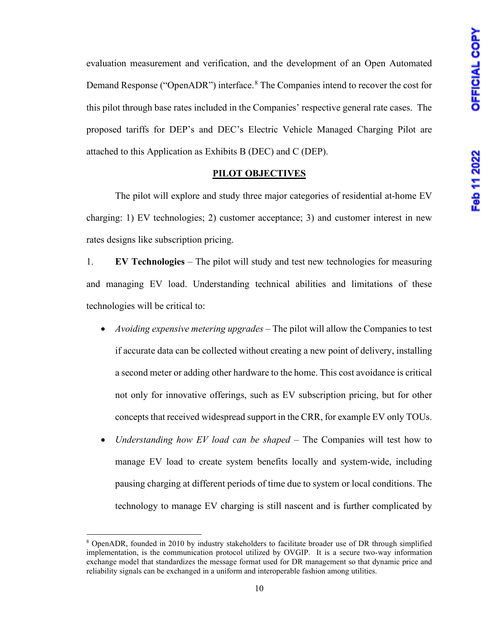evaluation measurement and verification, and the development of an Open Automated Demand Response ("OpenADR") interface.<sup>[8](#page-11-0)</sup> The Companies intend to recover the cost for this pilot through base rates included in the Companies' respective general rate cases. The proposed tariffs for DEP's and DEC's Electric Vehicle Managed Charging Pilot are attached to this Application as Exhibits B (DEC) and C (DEP).

#### **PILOT OBJECTIVES**

The pilot will explore and study three major categories of residential at-home EV charging: 1) EV technologies; 2) customer acceptance; 3) and customer interest in new rates designs like subscription pricing.

1. **EV Technologies** – The pilot will study and test new technologies for measuring and managing EV load. Understanding technical abilities and limitations of these technologies will be critical to:

- *Avoiding expensive metering upgrades* The pilot will allow the Companies to test if accurate data can be collected without creating a new point of delivery, installing a second meter or adding other hardware to the home. This cost avoidance is critical not only for innovative offerings, such as EV subscription pricing, but for other concepts that received widespread support in the CRR, for example EV only TOUs.
- *Understanding how EV load can be shaped* The Companies will test how to manage EV load to create system benefits locally and system-wide, including pausing charging at different periods of time due to system or local conditions. The technology to manage EV charging is still nascent and is further complicated by

<span id="page-11-0"></span><sup>8</sup> OpenADR, founded in 2010 by industry stakeholders to facilitate broader use of DR through simplified implementation, is the communication protocol utilized by OVGIP. It is a secure two-way information exchange model that standardizes the message format used for DR management so that dynamic price and reliability signals can be exchanged in a uniform and interoperable fashion among utilities.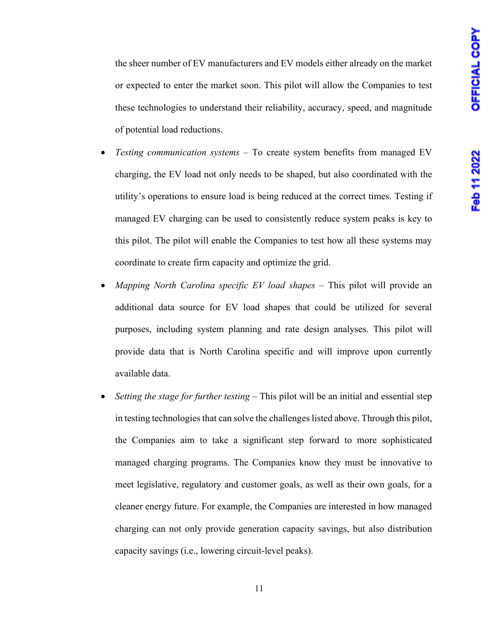the sheer number of EV manufacturers and EV models either already on the market or expected to enter the market soon. This pilot will allow the Companies to test these technologies to understand their reliability, accuracy, speed, and magnitude of potential load reductions.

- *Testing communication systems*  To create system benefits from managed EV charging, the EV load not only needs to be shaped, but also coordinated with the utility's operations to ensure load is being reduced at the correct times. Testing if managed EV charging can be used to consistently reduce system peaks is key to this pilot. The pilot will enable the Companies to test how all these systems may coordinate to create firm capacity and optimize the grid.
- *Mapping North Carolina specific EV load shapes*  This pilot will provide an additional data source for EV load shapes that could be utilized for several purposes, including system planning and rate design analyses. This pilot will provide data that is North Carolina specific and will improve upon currently available data.
- *Setting the stage for further testing*  This pilot will be an initial and essential step in testing technologies that can solve the challenges listed above. Through this pilot, the Companies aim to take a significant step forward to more sophisticated managed charging programs. The Companies know they must be innovative to meet legislative, regulatory and customer goals, as well as their own goals, for a cleaner energy future. For example, the Companies are interested in how managed charging can not only provide generation capacity savings, but also distribution capacity savings (i.e., lowering circuit-level peaks).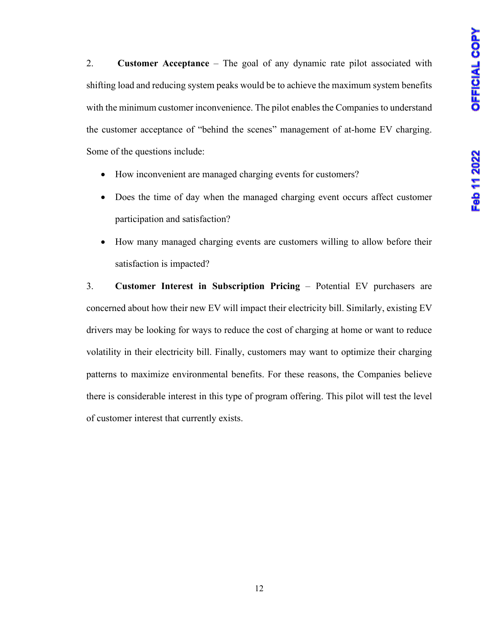2. **Customer Acceptance** – The goal of any dynamic rate pilot associated with shifting load and reducing system peaks would be to achieve the maximum system benefits with the minimum customer inconvenience. The pilot enables the Companies to understand the customer acceptance of "behind the scenes" management of at-home EV charging. Some of the questions include:

- How inconvenient are managed charging events for customers?
- Does the time of day when the managed charging event occurs affect customer participation and satisfaction?
- How many managed charging events are customers willing to allow before their satisfaction is impacted?

3. **Customer Interest in Subscription Pricing** – Potential EV purchasers are concerned about how their new EV will impact their electricity bill. Similarly, existing EV drivers may be looking for ways to reduce the cost of charging at home or want to reduce volatility in their electricity bill. Finally, customers may want to optimize their charging patterns to maximize environmental benefits. For these reasons, the Companies believe there is considerable interest in this type of program offering. This pilot will test the level of customer interest that currently exists.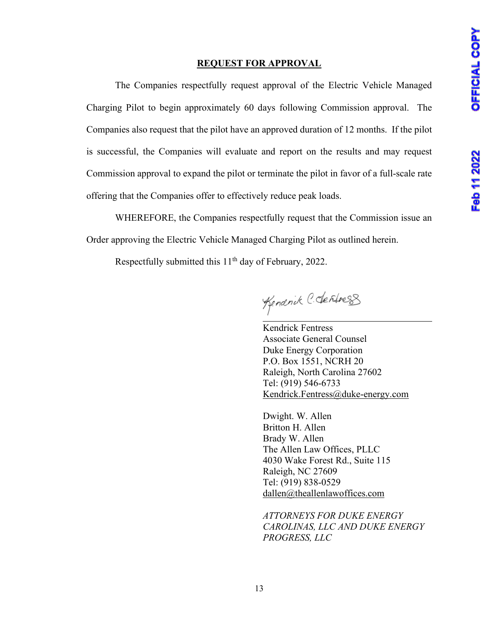# **REQUEST FOR APPROVAL**

The Companies respectfully request approval of the Electric Vehicle Managed Charging Pilot to begin approximately 60 days following Commission approval. The Companies also request that the pilot have an approved duration of 12 months. If the pilot is successful, the Companies will evaluate and report on the results and may request Commission approval to expand the pilot or terminate the pilot in favor of a full-scale rate offering that the Companies offer to effectively reduce peak loads.

WHEREFORE, the Companies respectfully request that the Commission issue an Order approving the Electric Vehicle Managed Charging Pilot as outlined herein.

Respectfully submitted this 11<sup>th</sup> day of February, 2022.

Kenanck C. dentress

Kendrick Fentress Associate General Counsel Duke Energy Corporation P.O. Box 1551, NCRH 20 Raleigh, North Carolina 27602 Tel: (919) 546-6733 Kendrick.Fentress@duke-energy.com

Dwight. W. Allen Britton H. Allen Brady W. Allen The Allen Law Offices, PLLC 4030 Wake Forest Rd., Suite 115 Raleigh, NC 27609 Tel: (919) 838-0529 [dallen@theallenlawoffices.com](mailto:dallen@theallenlawoffices.com)

*ATTORNEYS FOR DUKE ENERGY CAROLINAS, LLC AND DUKE ENERGY PROGRESS, LLC*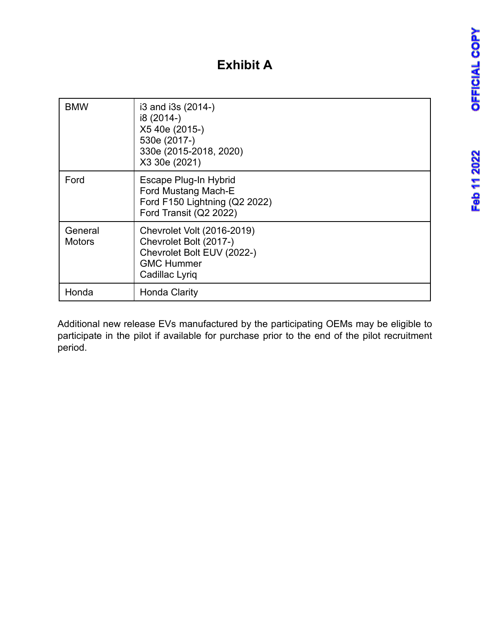# **Exhibit A**

| <b>BMW</b>               | i3 and i3s (2014-)<br>i8 (2014-)<br>X5 40e (2015-)<br>530e (2017-)<br>330e (2015-2018, 2020)<br>X3 30e (2021)             |
|--------------------------|---------------------------------------------------------------------------------------------------------------------------|
| Ford                     | Escape Plug-In Hybrid<br>Ford Mustang Mach-E<br>Ford F150 Lightning (Q2 2022)<br>Ford Transit (Q2 2022)                   |
| General<br><b>Motors</b> | Chevrolet Volt (2016-2019)<br>Chevrolet Bolt (2017-)<br>Chevrolet Bolt EUV (2022-)<br><b>GMC Hummer</b><br>Cadillac Lyriq |
| Honda                    | Honda Clarity                                                                                                             |

Additional new release EVs manufactured by the participating OEMs may be eligible to participate in the pilot if available for purchase prior to the end of the pilot recruitment period.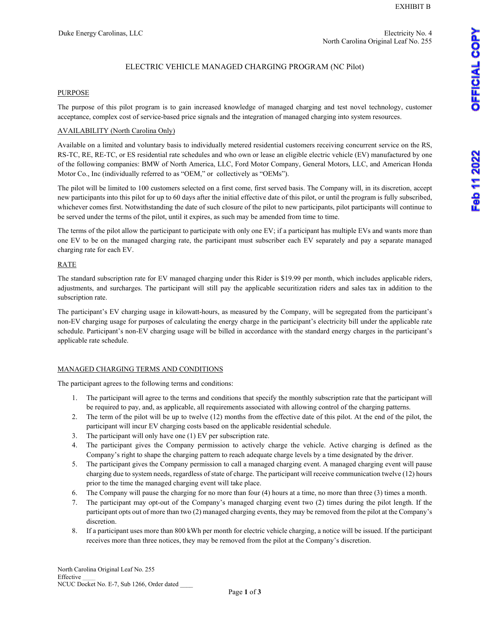# ELECTRIC VEHICLE MANAGED CHARGING PROGRAM (NC Pilot)

# PURPOSE

The purpose of this pilot program is to gain increased knowledge of managed charging and test novel technology, customer acceptance, complex cost of service-based price signals and the integration of managed charging into system resources.

# AVAILABILITY (North Carolina Only)

Available on a limited and voluntary basis to individually metered residential customers receiving concurrent service on the RS, RS-TC, RE, RE-TC, or ES residential rate schedules and who own or lease an eligible electric vehicle (EV) manufactured by one of the following companies: BMW of North America, LLC, Ford Motor Company, General Motors, LLC, and American Honda Motor Co., Inc (individually referred to as "OEM," or collectively as "OEMs").

The pilot will be limited to 100 customers selected on a first come, first served basis. The Company will, in its discretion, accept new participants into this pilot for up to 60 days after the initial effective date of this pilot, or until the program is fully subscribed, whichever comes first. Notwithstanding the date of such closure of the pilot to new participants, pilot participants will continue to be served under the terms of the pilot, until it expires, as such may be amended from time to time.

The terms of the pilot allow the participant to participate with only one EV; if a participant has multiple EVs and wants more than one EV to be on the managed charging rate, the participant must subscriber each EV separately and pay a separate managed charging rate for each EV.

#### RATE

The standard subscription rate for EV managed charging under this Rider is \$19.99 per month, which includes applicable riders, adjustments, and surcharges. The participant will still pay the applicable securitization riders and sales tax in addition to the subscription rate.

The participant's EV charging usage in kilowatt-hours, as measured by the Company, will be segregated from the participant's non-EV charging usage for purposes of calculating the energy charge in the participant's electricity bill under the applicable rate schedule. Participant's non-EV charging usage will be billed in accordance with the standard energy charges in the participant's applicable rate schedule.

#### MANAGED CHARGING TERMS AND CONDITIONS

The participant agrees to the following terms and conditions:

- 1. The participant will agree to the terms and conditions that specify the monthly subscription rate that the participant will be required to pay, and, as applicable, all requirements associated with allowing control of the charging patterns.
- 2. The term of the pilot will be up to twelve (12) months from the effective date of this pilot. At the end of the pilot, the participant will incur EV charging costs based on the applicable residential schedule.
- 3. The participant will only have one (1) EV per subscription rate.
- 4. The participant gives the Company permission to actively charge the vehicle. Active charging is defined as the Company's right to shape the charging pattern to reach adequate charge levels by a time designated by the driver.
- 5. The participant gives the Company permission to call a managed charging event. A managed charging event will pause charging due to system needs, regardless of state of charge. The participant will receive communication twelve (12) hours prior to the time the managed charging event will take place.
- 6. The Company will pause the charging for no more than four (4) hours at a time, no more than three (3) times a month.
- 7. The participant may opt-out of the Company's managed charging event two (2) times during the pilot length. If the participant opts out of more than two (2) managed charging events, they may be removed from the pilot at the Company's discretion.
- 8. If a participant uses more than 800 kWh per month for electric vehicle charging, a notice will be issued. If the participant receives more than three notices, they may be removed from the pilot at the Company's discretion.

Feb 11 2022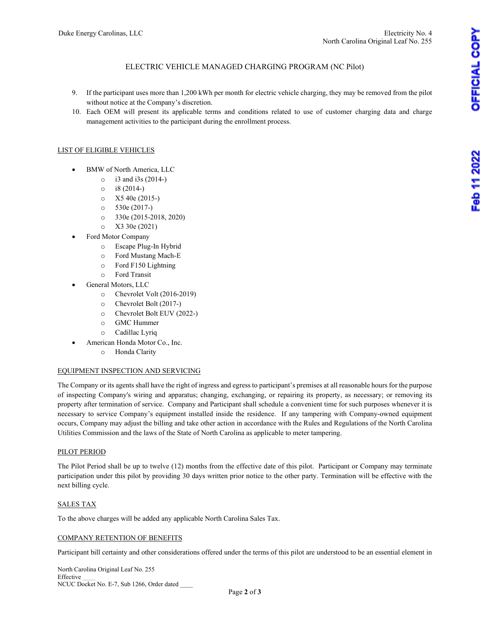#### ELECTRIC VEHICLE MANAGED CHARGING PROGRAM (NC Pilot)

- 9. If the participant uses more than 1,200 kWh per month for electric vehicle charging, they may be removed from the pilot without notice at the Company's discretion.
- 10. Each OEM will present its applicable terms and conditions related to use of customer charging data and charge management activities to the participant during the enrollment process.

#### LIST OF ELIGIBLE VEHICLES

- BMW of North America, LLC
	- $\circ$  i3 and i3s (2014-)
	- o i8 (2014-)
	- o X5 40e (2015-)
	- $\circ$  530e (2017-)
	- o 330e (2015-2018, 2020)
	- o X3 30e (2021)
- Ford Motor Company
	- o Escape Plug-In Hybrid
	- o Ford Mustang Mach-E
	- o Ford F150 Lightning
	- o Ford Transit
	- General Motors, LLC
		- o Chevrolet Volt (2016-2019)
		- o Chevrolet Bolt (2017-)
		- o Chevrolet Bolt EUV (2022-)
		- o GMC Hummer
		- o Cadillac Lyriq
- American Honda Motor Co., Inc.
	- o Honda Clarity

#### EQUIPMENT INSPECTION AND SERVICING

The Company or its agents shall have the right of ingress and egress to participant's premises at all reasonable hours for the purpose of inspecting Company's wiring and apparatus; changing, exchanging, or repairing its property, as necessary; or removing its property after termination of service. Company and Participant shall schedule a convenient time for such purposes whenever it is necessary to service Company's equipment installed inside the residence. If any tampering with Company-owned equipment occurs, Company may adjust the billing and take other action in accordance with the Rules and Regulations of the North Carolina Utilities Commission and the laws of the State of North Carolina as applicable to meter tampering.

#### PILOT PERIOD

The Pilot Period shall be up to twelve (12) months from the effective date of this pilot. Participant or Company may terminate participation under this pilot by providing 30 days written prior notice to the other party. Termination will be effective with the next billing cycle.

#### SALES TAX

To the above charges will be added any applicable North Carolina Sales Tax.

#### COMPANY RETENTION OF BENEFITS

Participant bill certainty and other considerations offered under the terms of this pilot are understood to be an essential element in

North Carolina Original Leaf No. 255 Effective \_\_\_\_ NCUC Docket No. E-7, Sub 1266, Order dated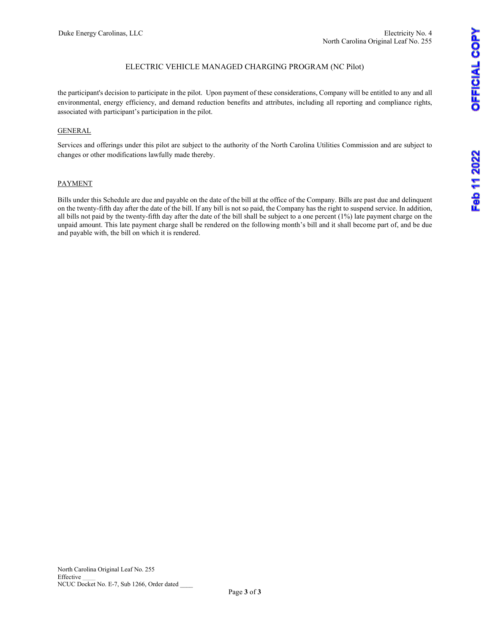### ELECTRIC VEHICLE MANAGED CHARGING PROGRAM (NC Pilot)

the participant's decision to participate in the pilot. Upon payment of these considerations, Company will be entitled to any and all environmental, energy efficiency, and demand reduction benefits and attributes, including all reporting and compliance rights, associated with participant's participation in the pilot.

#### GENERAL

Services and offerings under this pilot are subject to the authority of the North Carolina Utilities Commission and are subject to changes or other modifications lawfully made thereby.

#### PAYMENT

Bills under this Schedule are due and payable on the date of the bill at the office of the Company. Bills are past due and delinquent on the twenty-fifth day after the date of the bill. If any bill is not so paid, the Company has the right to suspend service. In addition, all bills not paid by the twenty-fifth day after the date of the bill shall be subject to a one percent (1%) late payment charge on the unpaid amount. This late payment charge shall be rendered on the following month's bill and it shall become part of, and be due and payable with, the bill on which it is rendered.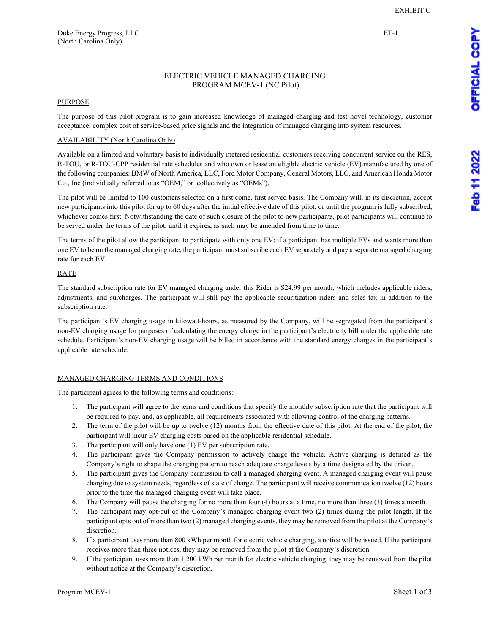#### ELECTRIC VEHICLE MANAGED CHARGING PROGRAM MCEV-1 (NC Pilot)

#### **PURPOSE**

The purpose of this pilot program is to gain increased knowledge of managed charging and test novel technology, customer acceptance, complex cost of service-based price signals and the integration of managed charging into system resources.

#### AVAILABILITY (North Carolina Only)

Available on a limited and voluntary basis to individually metered residential customers receiving concurrent service on the RES, R-TOU, or R-TOU-CPP residential rate schedules and who own or lease an eligible electric vehicle (EV) manufactured by one of the following companies: BMW of North America, LLC, Ford Motor Company, General Motors, LLC, and American Honda Motor Co., Inc (individually referred to as "OEM," or collectively as "OEMs").

The pilot will be limited to 100 customers selected on a first come, first served basis. The Company will, in its discretion, accept new participants into this pilot for up to 60 days after the initial effective date of this pilot, or until the program is fully subscribed, whichever comes first. Notwithstanding the date of such closure of the pilot to new participants, pilot participants will continue to be served under the terms of the pilot, until it expires, as such may be amended from time to time.

The terms of the pilot allow the participant to participate with only one EV; if a participant has multiple EVs and wants more than one EV to be on the managed charging rate, the participant must subscribe each EV separately and pay a separate managed charging rate for each EV.

#### RATE

The standard subscription rate for EV managed charging under this Rider is \$24.99 per month, which includes applicable riders, adjustments, and surcharges. The participant will still pay the applicable securitization riders and sales tax in addition to the subscription rate.

The participant's EV charging usage in kilowatt-hours, as measured by the Company, will be segregated from the participant's non-EV charging usage for purposes of calculating the energy charge in the participant's electricity bill under the applicable rate schedule. Participant's non-EV charging usage will be billed in accordance with the standard energy charges in the participant's applicable rate schedule.

#### MANAGED CHARGING TERMS AND CONDITIONS

The participant agrees to the following terms and conditions:

- 1. The participant will agree to the terms and conditions that specify the monthly subscription rate that the participant will be required to pay, and, as applicable, all requirements associated with allowing control of the charging patterns.
- 2. The term of the pilot will be up to twelve (12) months from the effective date of this pilot. At the end of the pilot, the participant will incur EV charging costs based on the applicable residential schedule.
- 3. The participant will only have one (1) EV per subscription rate.
- 4. The participant gives the Company permission to actively charge the vehicle. Active charging is defined as the Company's right to shape the charging pattern to reach adequate charge levels by a time designated by the driver.
- 5. The participant gives the Company permission to call a managed charging event. A managed charging event will pause charging due to system needs, regardless of state of charge. The participant will receive communication twelve (12) hours prior to the time the managed charging event will take place.
- 6. The Company will pause the charging for no more than four (4) hours at a time, no more than three (3) times a month.
- 7. The participant may opt-out of the Company's managed charging event two (2) times during the pilot length. If the participant opts out of more than two (2) managed charging events, they may be removed from the pilot at the Company's discretion.
- 8. If a participant uses more than 800 kWh per month for electric vehicle charging, a notice will be issued. If the participant receives more than three notices, they may be removed from the pilot at the Company's discretion.
- 9. If the participant uses more than 1,200 kWh per month for electric vehicle charging, they may be removed from the pilot without notice at the Company's discretion.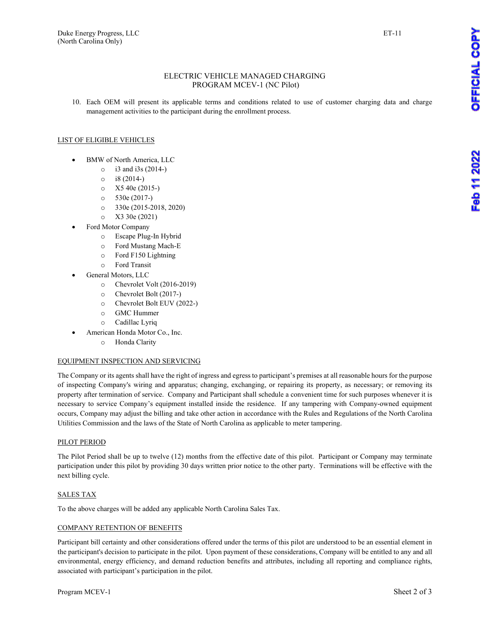#### ELECTRIC VEHICLE MANAGED CHARGING PROGRAM MCEV-1 (NC Pilot)

10. Each OEM will present its applicable terms and conditions related to use of customer charging data and charge management activities to the participant during the enrollment process.

#### LIST OF ELIGIBLE VEHICLES

- BMW of North America, LLC
	- $\circ$  i3 and i3s (2014-)
	- $\circ$  i8 (2014-)
	- $\circ$  X5 40e (2015-)
	- o 530e (2017-)
	- o 330e (2015-2018, 2020)
	- o X3 30e (2021)
- Ford Motor Company
	- o Escape Plug-In Hybrid
	- o Ford Mustang Mach-E
	- o Ford F150 Lightning
	- o Ford Transit
- General Motors, LLC
	- o Chevrolet Volt (2016-2019)
	- o Chevrolet Bolt (2017-)
	- o Chevrolet Bolt EUV (2022-)
	- o GMC Hummer
	- o Cadillac Lyriq
- American Honda Motor Co., Inc.
	- o Honda Clarity

#### EQUIPMENT INSPECTION AND SERVICING

The Company or its agents shall have the right of ingress and egress to participant's premises at all reasonable hours for the purpose of inspecting Company's wiring and apparatus; changing, exchanging, or repairing its property, as necessary; or removing its property after termination of service. Company and Participant shall schedule a convenient time for such purposes whenever it is necessary to service Company's equipment installed inside the residence. If any tampering with Company-owned equipment occurs, Company may adjust the billing and take other action in accordance with the Rules and Regulations of the North Carolina Utilities Commission and the laws of the State of North Carolina as applicable to meter tampering.

#### PILOT PERIOD

The Pilot Period shall be up to twelve (12) months from the effective date of this pilot. Participant or Company may terminate participation under this pilot by providing 30 days written prior notice to the other party. Terminations will be effective with the next billing cycle.

#### SALES TAX

To the above charges will be added any applicable North Carolina Sales Tax.

#### COMPANY RETENTION OF BENEFITS

Participant bill certainty and other considerations offered under the terms of this pilot are understood to be an essential element in the participant's decision to participate in the pilot. Upon payment of these considerations, Company will be entitled to any and all environmental, energy efficiency, and demand reduction benefits and attributes, including all reporting and compliance rights, associated with participant's participation in the pilot.